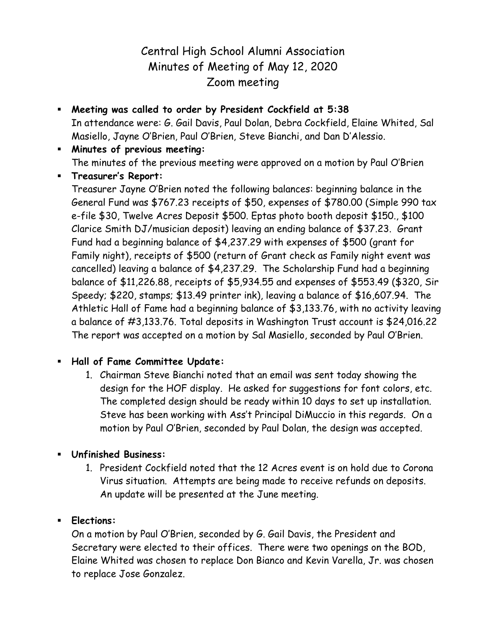## Central High School Alumni Association Minutes of Meeting of May 12, 2020 Zoom meeting

- **Meeting was called to order by President Cockfield at 5:38** In attendance were: G. Gail Davis, Paul Dolan, Debra Cockfield, Elaine Whited, Sal Masiello, Jayne O'Brien, Paul O'Brien, Steve Bianchi, and Dan D'Alessio.
- **Minutes of previous meeting:** The minutes of the previous meeting were approved on a motion by Paul O'Brien
- **Treasurer's Report:**

Treasurer Jayne O'Brien noted the following balances: beginning balance in the General Fund was \$767.23 receipts of \$50, expenses of \$780.00 (Simple 990 tax e-file \$30, Twelve Acres Deposit \$500. Eptas photo booth deposit \$150., \$100 Clarice Smith DJ/musician deposit) leaving an ending balance of \$37.23. Grant Fund had a beginning balance of \$4,237.29 with expenses of \$500 (grant for Family night), receipts of \$500 (return of Grant check as Family night event was cancelled) leaving a balance of \$4,237.29. The Scholarship Fund had a beginning balance of \$11,226.88, receipts of \$5,934.55 and expenses of \$553.49 (\$320, Sir Speedy; \$220, stamps; \$13.49 printer ink), leaving a balance of \$16,607.94. The Athletic Hall of Fame had a beginning balance of \$3,133.76, with no activity leaving a balance of #3,133.76. Total deposits in Washington Trust account is \$24,016.22 The report was accepted on a motion by Sal Masiello, seconded by Paul O'Brien.

## **Hall of Fame Committee Update:**

- 1. Chairman Steve Bianchi noted that an email was sent today showing the design for the HOF display. He asked for suggestions for font colors, etc. The completed design should be ready within 10 days to set up installation. Steve has been working with Ass't Principal DiMuccio in this regards. On a motion by Paul O'Brien, seconded by Paul Dolan, the design was accepted.
- **Unfinished Business:**
	- 1. President Cockfield noted that the 12 Acres event is on hold due to Corona Virus situation. Attempts are being made to receive refunds on deposits. An update will be presented at the June meeting.
- **Elections:**

On a motion by Paul O'Brien, seconded by G. Gail Davis, the President and Secretary were elected to their offices. There were two openings on the BOD, Elaine Whited was chosen to replace Don Bianco and Kevin Varella, Jr. was chosen to replace Jose Gonzalez.